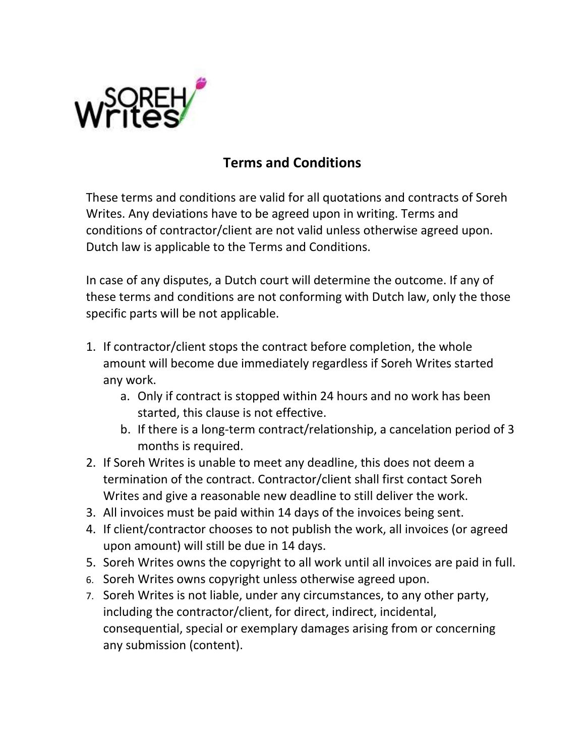

## **Terms and Conditions**

These terms and conditions are valid for all quotations and contracts of Soreh Writes. Any deviations have to be agreed upon in writing. Terms and conditions of contractor/client are not valid unless otherwise agreed upon. Dutch law is applicable to the Terms and Conditions.

In case of any disputes, a Dutch court will determine the outcome. If any of these terms and conditions are not conforming with Dutch law, only the those specific parts will be not applicable.

- 1. If contractor/client stops the contract before completion, the whole amount will become due immediately regardless if Soreh Writes started any work.
	- a. Only if contract is stopped within 24 hours and no work has been started, this clause is not effective.
	- b. If there is a long-term contract/relationship, a cancelation period of 3 months is required.
- 2. If Soreh Writes is unable to meet any deadline, this does not deem a termination of the contract. Contractor/client shall first contact Soreh Writes and give a reasonable new deadline to still deliver the work.
- 3. All invoices must be paid within 14 days of the invoices being sent.
- 4. If client/contractor chooses to not publish the work, all invoices (or agreed upon amount) will still be due in 14 days.
- 5. Soreh Writes owns the copyright to all work until all invoices are paid in full.
- 6. Soreh Writes owns copyright unless otherwise agreed upon.
- 7. Soreh Writes is not liable, under any circumstances, to any other party, including the contractor/client, for direct, indirect, incidental, consequential, special or exemplary damages arising from or concerning any submission (content).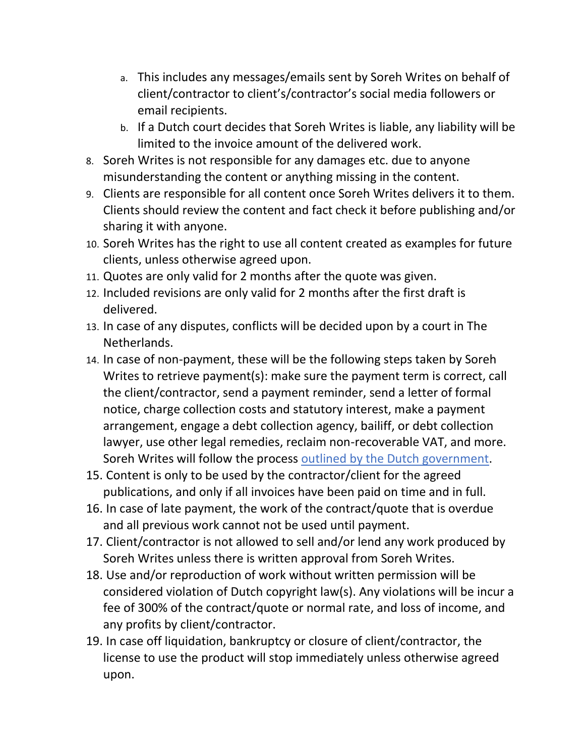- a. This includes any messages/emails sent by Soreh Writes on behalf of client/contractor to client's/contractor's social media followers or email recipients.
- b. If a Dutch court decides that Soreh Writes is liable, any liability will be limited to the invoice amount of the delivered work.
- 8. Soreh Writes is not responsible for any damages etc. due to anyone misunderstanding the content or anything missing in the content.
- 9. Clients are responsible for all content once Soreh Writes delivers it to them. Clients should review the content and fact check it before publishing and/or sharing it with anyone.
- 10. Soreh Writes has the right to use all content created as examples for future clients, unless otherwise agreed upon.
- 11. Quotes are only valid for 2 months after the quote was given.
- 12. Included revisions are only valid for 2 months after the first draft is delivered.
- 13. In case of any disputes, conflicts will be decided upon by a court in The Netherlands.
- 14. In case of non-payment, these will be the following steps taken by Soreh Writes to retrieve payment(s): make sure the payment term is correct, call the client/contractor, send a payment reminder, send a letter of formal notice, charge collection costs and statutory interest, make a payment arrangement, engage a debt collection agency, bailiff, or debt collection lawyer, use other legal remedies, reclaim non-recoverable VAT, and more. Soreh Writes will follow the process [outlined by the Dutch government.](https://business.gov.nl/running-your-business/business-management/administration/step-by-step-plan-customer-does-not-pay-invoice/)
- 15. Content is only to be used by the contractor/client for the agreed publications, and only if all invoices have been paid on time and in full.
- 16. In case of late payment, the work of the contract/quote that is overdue and all previous work cannot not be used until payment.
- 17. Client/contractor is not allowed to sell and/or lend any work produced by Soreh Writes unless there is written approval from Soreh Writes.
- 18. Use and/or reproduction of work without written permission will be considered violation of Dutch copyright law(s). Any violations will be incur a fee of 300% of the contract/quote or normal rate, and loss of income, and any profits by client/contractor.
- 19. In case off liquidation, bankruptcy or closure of client/contractor, the license to use the product will stop immediately unless otherwise agreed upon.